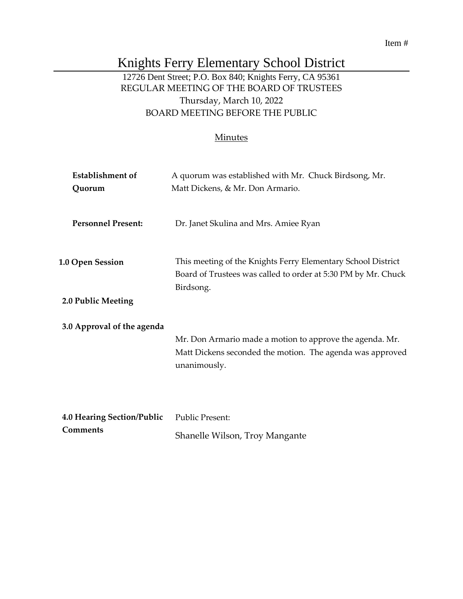#### Item #

# Knights Ferry Elementary School District

# 12726 Dent Street; P.O. Box 840; Knights Ferry, CA 95361 REGULAR MEETING OF THE BOARD OF TRUSTEES Thursday, March 10, 2022 BOARD MEETING BEFORE THE PUBLIC

#### **Minutes**

| Establishment of           | A quorum was established with Mr. Chuck Birdsong, Mr.                                                                                      |  |
|----------------------------|--------------------------------------------------------------------------------------------------------------------------------------------|--|
| Quorum                     | Matt Dickens, & Mr. Don Armario.                                                                                                           |  |
| <b>Personnel Present:</b>  | Dr. Janet Skulina and Mrs. Amiee Ryan                                                                                                      |  |
| <b>1.0 Open Session</b>    | This meeting of the Knights Ferry Elementary School District<br>Board of Trustees was called to order at 5:30 PM by Mr. Chuck<br>Birdsong. |  |
| 2.0 Public Meeting         |                                                                                                                                            |  |
| 3.0 Approval of the agenda |                                                                                                                                            |  |
|                            | Mr. Don Armario made a motion to approve the agenda. Mr.<br>Matt Dickens seconded the motion. The agenda was approved<br>unanimously.      |  |
|                            |                                                                                                                                            |  |
| 4.0 Hearing Section/Public | <b>Public Present:</b>                                                                                                                     |  |
| <b>Comments</b>            | Shanelle Wilson, Troy Mangante                                                                                                             |  |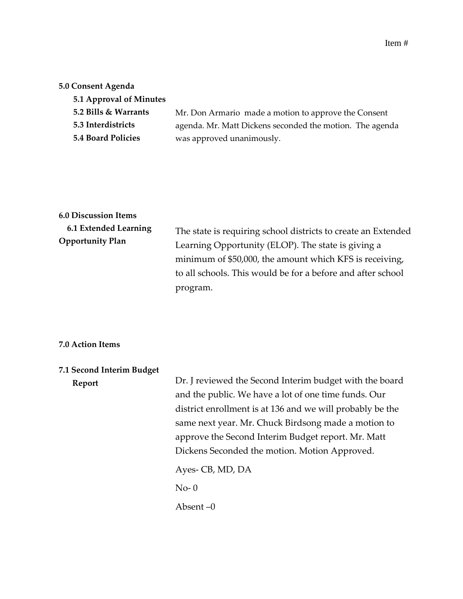#### **5.0 Consent Agenda**

| Mr. Don Armario made a motion to approve the Consent     |
|----------------------------------------------------------|
| agenda. Mr. Matt Dickens seconded the motion. The agenda |
| was approved unanimously.                                |
|                                                          |

# **6.0 Discussion Items 6.1 Extended Learning Opportunity Plan**

The state is requiring school districts to create an Extended Learning Opportunity (ELOP). The state is giving a minimum of \$50,000, the amount which KFS is receiving, to all schools. This would be for a before and after school program.

#### **7.0 Action Items**

| 7.1 Second Interim Budget |                                                           |
|---------------------------|-----------------------------------------------------------|
| Report                    | Dr. J reviewed the Second Interim budget with the board   |
|                           | and the public. We have a lot of one time funds. Our      |
|                           | district enrollment is at 136 and we will probably be the |
|                           | same next year. Mr. Chuck Birdsong made a motion to       |
|                           | approve the Second Interim Budget report. Mr. Matt        |
|                           | Dickens Seconded the motion. Motion Approved.             |
|                           | Ayes- CB, MD, DA                                          |
|                           | $No-0$                                                    |
|                           | Absent $-0$                                               |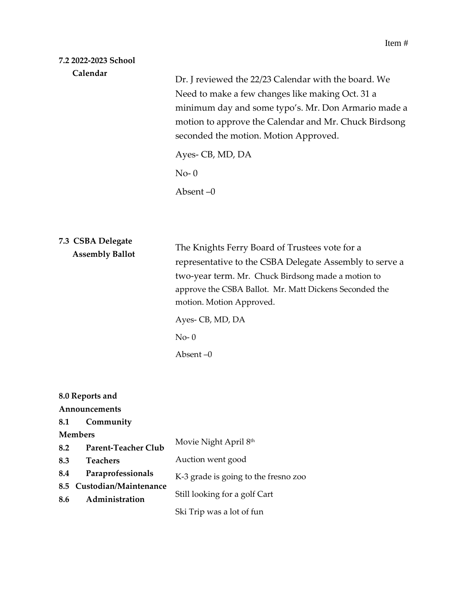### **7.2 2022-2023 School Calendar**

Dr. J reviewed the 22/23 Calendar with the board. We Need to make a few changes like making Oct. 31 a minimum day and some typo's. Mr. Don Armario made a motion to approve the Calendar and Mr. Chuck Birdsong seconded the motion. Motion Approved.

Ayes- CB, MD, DA

 $No-0$ 

Absent –0

# **7.3 CSBA Delegate Assembly Ballot**

The Knights Ferry Board of Trustees vote for a representative to the CSBA Delegate Assembly to serve a two-year term. Mr. Chuck Birdsong made a motion to approve the CSBA Ballot. Mr. Matt Dickens Seconded the motion. Motion Approved.

Ayes- CB, MD, DA No- 0 Absent –0

### **8.0 Reports and**

### **Announcements**

#### **8.1 Community**

**Members** 

| ************** |                            |                                      |
|----------------|----------------------------|--------------------------------------|
| 8.2            | <b>Parent-Teacher Club</b> | Movie Night April 8th                |
| 8.3            | <b>Teachers</b>            | Auction went good                    |
| 8.4            | Paraprofessionals          | K-3 grade is going to the fresno zoo |
|                | 8.5 Custodian/Maintenance  |                                      |
| 8.6            | Administration             | Still looking for a golf Cart        |
|                |                            | Ski Trip was a lot of fun            |